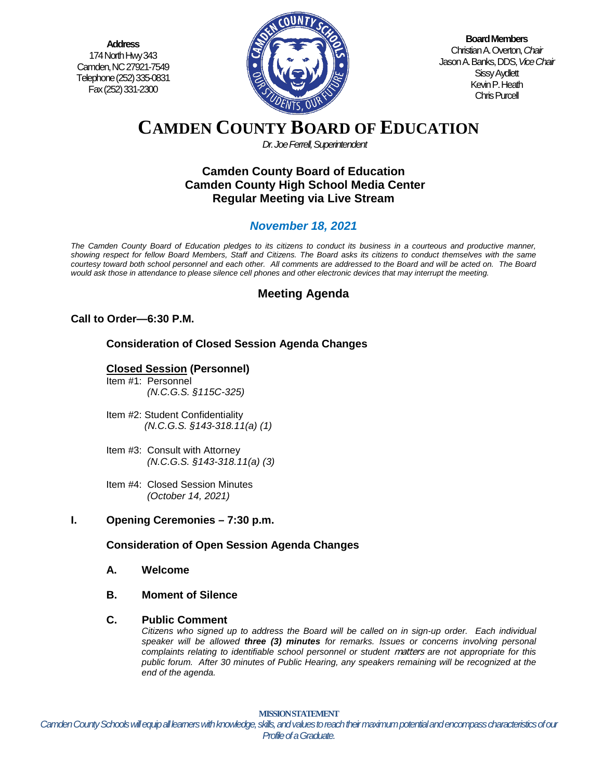**Address** 174 North Hwy 343 Camden, NC 27921-7549 Telephone (252) 335-0831 Fax (252) 331-2300



**Board Members** Christian A. Overton, *Chair* Jason A. Banks, DDS,*Vice Chair* Sissy Aydlett Kevin P. Heath Chris Purcell

# **CAMDEN COUNTY BOARD OF EDUCATION**

*Dr. Joe Ferrell, Superintendent*

### **Camden County Board of Education Camden County High School Media Center Regular Meeting via Live Stream**

# *November 18, 2021*

*The Camden County Board of Education pledges to its citizens to conduct its business in a courteous and productive manner, showing respect for fellow Board Members, Staff and Citizens. The Board asks its citizens to conduct themselves with the same courtesy toward both school personnel and each other. All comments are addressed to the Board and will be acted on. The Board would ask those in attendance to please silence cell phones and other electronic devices that may interrupt the meeting.*

## **Meeting Agenda**

#### **Call to Order—6:30 P.M.**

#### **Consideration of Closed Session Agenda Changes**

#### **Closed Session (Personnel)**

- Item #1: Personnel *(N.C.G.S. §115C-325)*
- Item #2: Student Confidentiality *(N.C.G.S. §143-318.11(a) (1)*
- Item #3: Consult with Attorney  *(N.C.G.S. §143-318.11(a) (3)*
- Item #4: Closed Session Minutes  *(October 14, 2021)*

#### **I. Opening Ceremonies – 7:30 p.m.**

#### **Consideration of Open Session Agenda Changes**

- **A. Welcome**
- **B. Moment of Silence**
- **C. Public Comment**

*Citizens who signed up to address the Board will be called on in sign-up order. Each individual speaker will be allowed three (3) minutes for remarks. Issues or concerns involving personal complaints relating to identifiable school personnel or student* matters *are not appropriate for this public forum. After 30 minutes of Public Hearing, any speakers remaining will be recognized at the end of the agenda.*

Camden County Schools will equip all learners with knowledge, skills, and values to reach their maximum potential and encompass characteristics of our **D. Pledge of Allegiance MISSION STATEMENT** *Profile of a Graduate.*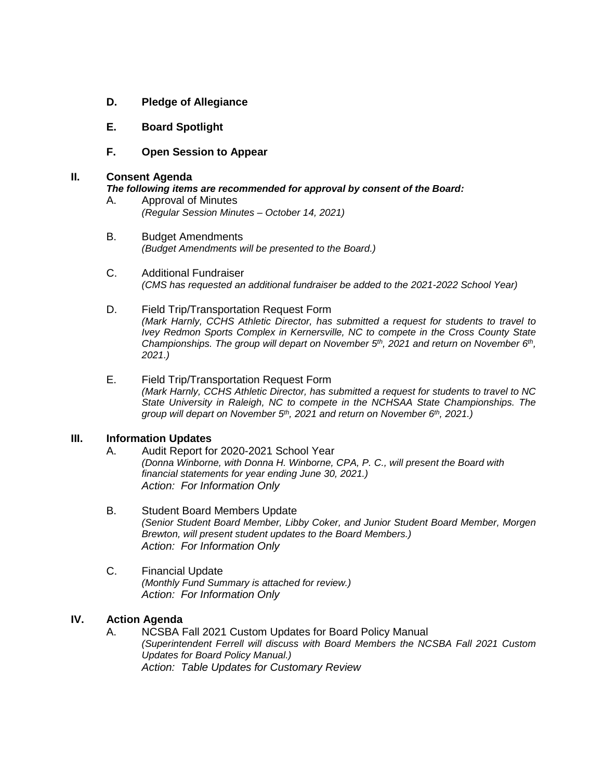- **D. Pledge of Allegiance**
- **E. Board Spotlight**
- **F. Open Session to Appear**

#### **II. Consent Agenda**

*The following items are recommended for approval by consent of the Board:*

- A. Approval of Minutes *(Regular Session Minutes – October 14, 2021)*
- B. Budget Amendments *(Budget Amendments will be presented to the Board.)*
- C. Additional Fundraiser *(CMS has requested an additional fundraiser be added to the 2021-2022 School Year)*
- D. Field Trip/Transportation Request Form *(Mark Harnly, CCHS Athletic Director, has submitted a request for students to travel to Ivey Redmon Sports Complex in Kernersville, NC to compete in the Cross County State Championships. The group will depart on November 5th, 2021 and return on November 6th, 2021.)*
- E. Field Trip/Transportation Request Form *(Mark Harnly, CCHS Athletic Director, has submitted a request for students to travel to NC State University in Raleigh, NC to compete in the NCHSAA State Championships. The group will depart on November 5th, 2021 and return on November 6th, 2021.)*

#### **III. Information Updates**

A. Audit Report for 2020-2021 School Year *(Donna Winborne, with Donna H. Winborne, CPA, P. C., will present the Board with financial statements for year ending June 30, 2021.) Action: For Information Only*

- B. Student Board Members Update *(Senior Student Board Member, Libby Coker, and Junior Student Board Member, Morgen Brewton, will present student updates to the Board Members.) Action: For Information Only*
- C. Financial Update *(Monthly Fund Summary is attached for review.) Action: For Information Only*

#### **IV. Action Agenda**

A. NCSBA Fall 2021 Custom Updates for Board Policy Manual *(Superintendent Ferrell will discuss with Board Members the NCSBA Fall 2021 Custom Updates for Board Policy Manual.) Action: Table Updates for Customary Review*